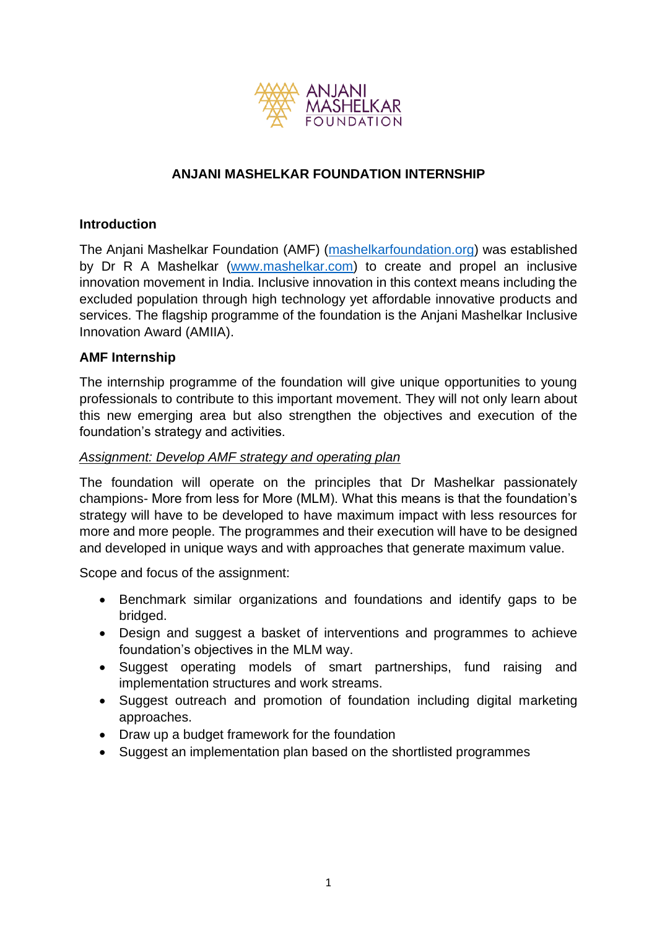

# **ANJANI MASHELKAR FOUNDATION INTERNSHIP**

### **Introduction**

The Anjani Mashelkar Foundation (AMF) [\(mashelkarfoundation.org\)](http://mashelkarfoundation.org/) was established by Dr R A Mashelkar [\(www.mashelkar.com\)](http://www.mashelkar.com/) to create and propel an inclusive innovation movement in India. Inclusive innovation in this context means including the excluded population through high technology yet affordable innovative products and services. The flagship programme of the foundation is the Anjani Mashelkar Inclusive Innovation Award (AMIIA).

## **AMF Internship**

The internship programme of the foundation will give unique opportunities to young professionals to contribute to this important movement. They will not only learn about this new emerging area but also strengthen the objectives and execution of the foundation's strategy and activities.

### *Assignment: Develop AMF strategy and operating plan*

The foundation will operate on the principles that Dr Mashelkar passionately champions- More from less for More (MLM). What this means is that the foundation's strategy will have to be developed to have maximum impact with less resources for more and more people. The programmes and their execution will have to be designed and developed in unique ways and with approaches that generate maximum value.

Scope and focus of the assignment:

- Benchmark similar organizations and foundations and identify gaps to be bridged.
- Design and suggest a basket of interventions and programmes to achieve foundation's objectives in the MLM way.
- Suggest operating models of smart partnerships, fund raising and implementation structures and work streams.
- Suggest outreach and promotion of foundation including digital marketing approaches.
- Draw up a budget framework for the foundation
- Suggest an implementation plan based on the shortlisted programmes